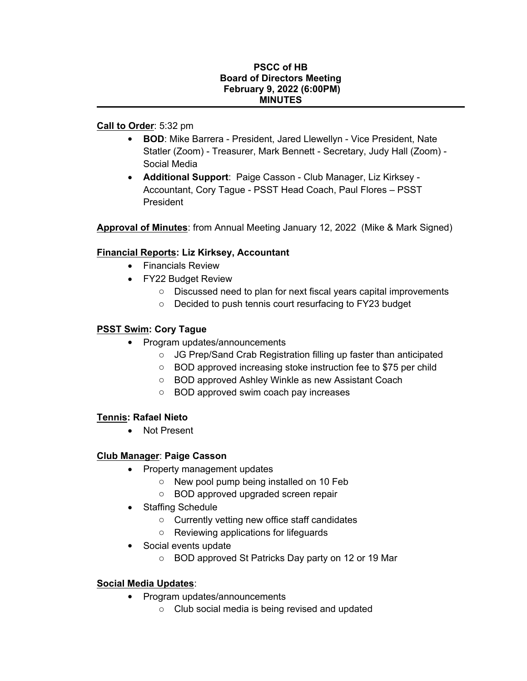#### **PSCC of HB Board of Directors Meeting February 9, 2022 (6:00PM) MINUTES**

## **Call to Order**: 5:32 pm

- **BOD**: Mike Barrera President, Jared Llewellyn Vice President, Nate Statler (Zoom) - Treasurer, Mark Bennett - Secretary, Judy Hall (Zoom) - Social Media
- **Additional Support**: Paige Casson Club Manager, Liz Kirksey Accountant, Cory Tague - PSST Head Coach, Paul Flores – PSST President

**Approval of Minutes**: from Annual Meeting January 12, 2022 (Mike & Mark Signed)

# **Financial Reports: Liz Kirksey, Accountant**

- Financials Review
- FY22 Budget Review
	- o Discussed need to plan for next fiscal years capital improvements
	- o Decided to push tennis court resurfacing to FY23 budget

### **PSST Swim: Cory Tague**

- Program updates/announcements
	- o JG Prep/Sand Crab Registration filling up faster than anticipated
	- o BOD approved increasing stoke instruction fee to \$75 per child
	- o BOD approved Ashley Winkle as new Assistant Coach
	- o BOD approved swim coach pay increases

### **Tennis: Rafael Nieto**

• Not Present

### **Club Manager**: **Paige Casson**

- Property management updates
	- o New pool pump being installed on 10 Feb
	- o BOD approved upgraded screen repair
- Staffing Schedule
	- o Currently vetting new office staff candidates
	- o Reviewing applications for lifeguards
- Social events update
	- o BOD approved St Patricks Day party on 12 or 19 Mar

### **Social Media Updates**:

- Program updates/announcements
	- o Club social media is being revised and updated